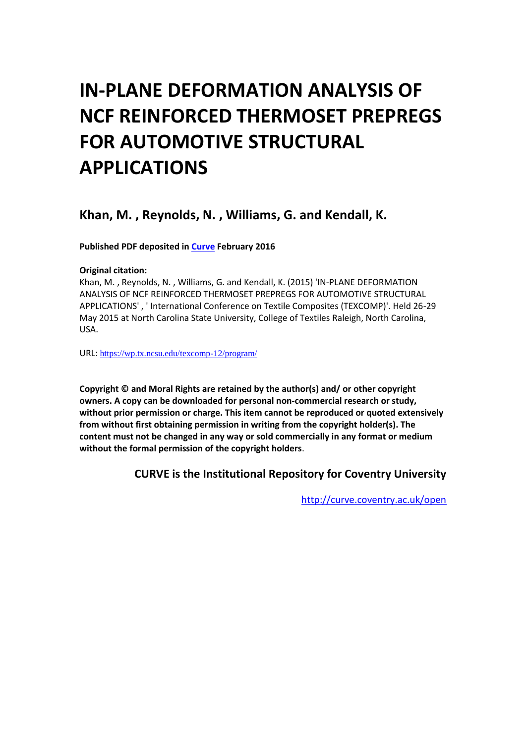# **IN-PLANE DEFORMATION ANALYSIS OF NCF REINFORCED THERMOSET PREPREGS FOR AUTOMOTIVE STRUCTURAL APPLICATIONS**

# **Khan, M. , Reynolds, N. , Williams, G. and Kendall, K.**

**Published PDF deposited in [Curve](http://curve.coventry.ac.uk/open) February 2016**

#### **Original citation:**

Khan, M. , Reynolds, N. , Williams, G. and Kendall, K. (2015) 'IN-PLANE DEFORMATION ANALYSIS OF NCF REINFORCED THERMOSET PREPREGS FOR AUTOMOTIVE STRUCTURAL APPLICATIONS' , ' International Conference on Textile Composites (TEXCOMP)'. Held 26-29 May 2015 at North Carolina State University, College of Textiles Raleigh, North Carolina, USA.

URL: <https://wp.tx.ncsu.edu/texcomp-12/program/>

**Copyright © and Moral Rights are retained by the author(s) and/ or other copyright owners. A copy can be downloaded for personal non-commercial research or study, without prior permission or charge. This item cannot be reproduced or quoted extensively from without first obtaining permission in writing from the copyright holder(s). The content must not be changed in any way or sold commercially in any format or medium without the formal permission of the copyright holders**.

**CURVE is the Institutional Repository for Coventry University**

<http://curve.coventry.ac.uk/open>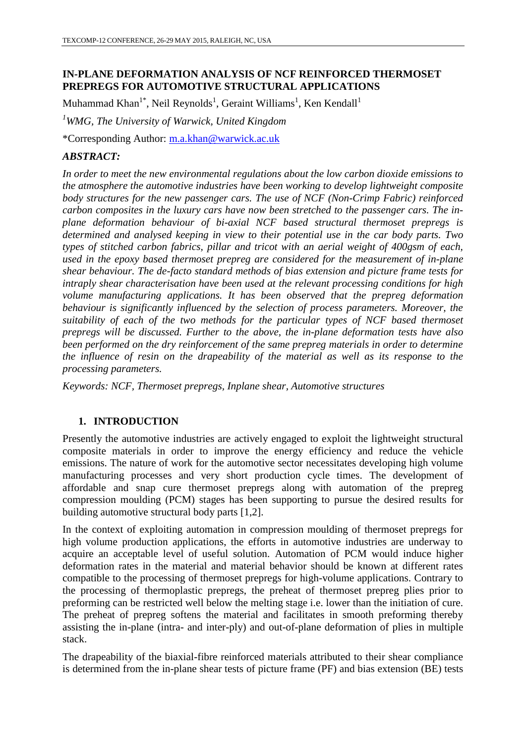# **IN-PLANE DEFORMATION ANALYSIS OF NCF REINFORCED THERMOSET PREPREGS FOR AUTOMOTIVE STRUCTURAL APPLICATIONS**

Muhammad Khan<sup>1\*</sup>, Neil Reynolds<sup>1</sup>, Geraint Williams<sup>1</sup>, Ken Kendall<sup>1</sup>

*<sup>1</sup>WMG, The University of Warwick, United Kingdom* 

\*Corresponding Author: [m.a.khan@warwick.ac.uk](mailto:m.a.khan@warwick.ac.uk)

# *ABSTRACT:*

*In order to meet the new environmental regulations about the low carbon dioxide emissions to the atmosphere the automotive industries have been working to develop lightweight composite body structures for the new passenger cars. The use of NCF (Non-Crimp Fabric) reinforced carbon composites in the luxury cars have now been stretched to the passenger cars. The inplane deformation behaviour of bi-axial NCF based structural thermoset prepregs is determined and analysed keeping in view to their potential use in the car body parts. Two types of stitched carbon fabrics, pillar and tricot with an aerial weight of 400gsm of each, used in the epoxy based thermoset prepreg are considered for the measurement of in-plane shear behaviour. The de-facto standard methods of bias extension and picture frame tests for intraply shear characterisation have been used at the relevant processing conditions for high volume manufacturing applications. It has been observed that the prepreg deformation behaviour is significantly influenced by the selection of process parameters. Moreover, the suitability of each of the two methods for the particular types of NCF based thermoset prepregs will be discussed. Further to the above, the in-plane deformation tests have also been performed on the dry reinforcement of the same prepreg materials in order to determine the influence of resin on the drapeability of the material as well as its response to the processing parameters.*

*Keywords: NCF, Thermoset prepregs, Inplane shear, Automotive structures*

# **1. INTRODUCTION**

Presently the automotive industries are actively engaged to exploit the lightweight structural composite materials in order to improve the energy efficiency and reduce the vehicle emissions. The nature of work for the automotive sector necessitates developing high volume manufacturing processes and very short production cycle times. The development of affordable and snap cure thermoset prepregs along with automation of the prepreg compression moulding (PCM) stages has been supporting to pursue the desired results for building automotive structural body parts [1,2].

In the context of exploiting automation in compression moulding of thermoset prepregs for high volume production applications, the efforts in automotive industries are underway to acquire an acceptable level of useful solution. Automation of PCM would induce higher deformation rates in the material and material behavior should be known at different rates compatible to the processing of thermoset prepregs for high-volume applications. Contrary to the processing of thermoplastic prepregs, the preheat of thermoset prepreg plies prior to preforming can be restricted well below the melting stage i.e. lower than the initiation of cure. The preheat of prepreg softens the material and facilitates in smooth preforming thereby assisting the in-plane (intra- and inter-ply) and out-of-plane deformation of plies in multiple stack.

The drapeability of the biaxial-fibre reinforced materials attributed to their shear compliance is determined from the in-plane shear tests of picture frame (PF) and bias extension (BE) tests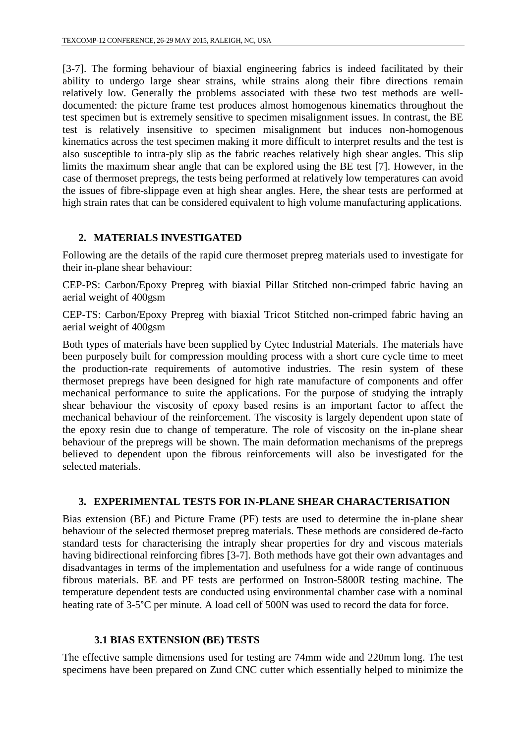[3-7]. The forming behaviour of biaxial engineering fabrics is indeed facilitated by their ability to undergo large shear strains, while strains along their fibre directions remain relatively low. Generally the problems associated with these two test methods are welldocumented: the picture frame test produces almost homogenous kinematics throughout the test specimen but is extremely sensitive to specimen misalignment issues. In contrast, the BE test is relatively insensitive to specimen misalignment but induces non-homogenous kinematics across the test specimen making it more difficult to interpret results and the test is also susceptible to intra-ply slip as the fabric reaches relatively high shear angles. This slip limits the maximum shear angle that can be explored using the BE test [7]. However, in the case of thermoset prepregs, the tests being performed at relatively low temperatures can avoid the issues of fibre-slippage even at high shear angles. Here, the shear tests are performed at high strain rates that can be considered equivalent to high volume manufacturing applications.

### **2. MATERIALS INVESTIGATED**

Following are the details of the rapid cure thermoset prepreg materials used to investigate for their in-plane shear behaviour:

CEP-PS: Carbon/Epoxy Prepreg with biaxial Pillar Stitched non-crimped fabric having an aerial weight of 400gsm

CEP-TS: Carbon/Epoxy Prepreg with biaxial Tricot Stitched non-crimped fabric having an aerial weight of 400gsm

Both types of materials have been supplied by Cytec Industrial Materials. The materials have been purposely built for compression moulding process with a short cure cycle time to meet the production-rate requirements of automotive industries. The resin system of these thermoset prepregs have been designed for high rate manufacture of components and offer mechanical performance to suite the applications. For the purpose of studying the intraply shear behaviour the viscosity of epoxy based resins is an important factor to affect the mechanical behaviour of the reinforcement. The viscosity is largely dependent upon state of the epoxy resin due to change of temperature. The role of viscosity on the in-plane shear behaviour of the prepregs will be shown. The main deformation mechanisms of the prepregs believed to dependent upon the fibrous reinforcements will also be investigated for the selected materials.

#### **3. EXPERIMENTAL TESTS FOR IN-PLANE SHEAR CHARACTERISATION**

Bias extension (BE) and Picture Frame (PF) tests are used to determine the in-plane shear behaviour of the selected thermoset prepreg materials. These methods are considered de-facto standard tests for characterising the intraply shear properties for dry and viscous materials having bidirectional reinforcing fibres [3-7]. Both methods have got their own advantages and disadvantages in terms of the implementation and usefulness for a wide range of continuous fibrous materials. BE and PF tests are performed on Instron-5800R testing machine. The temperature dependent tests are conducted using environmental chamber case with a nominal heating rate of 3-5<sup>o</sup>C per minute. A load cell of 500N was used to record the data for force.

# **3.1 BIAS EXTENSION (BE) TESTS**

The effective sample dimensions used for testing are 74mm wide and 220mm long. The test specimens have been prepared on Zund CNC cutter which essentially helped to minimize the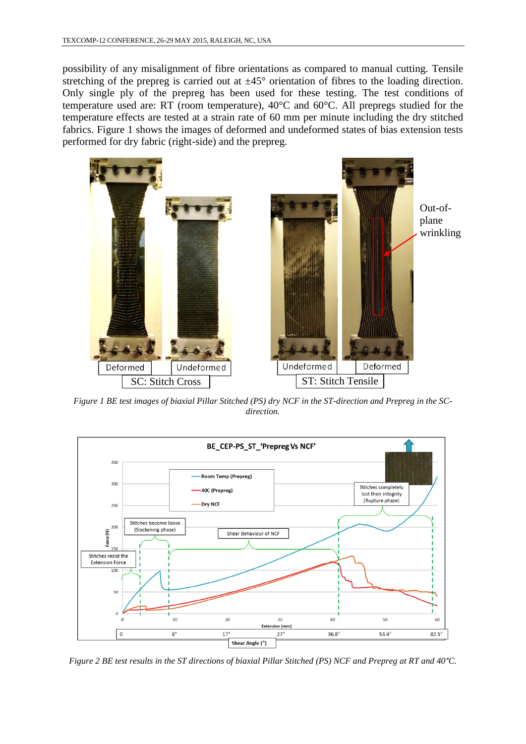possibility of any misalignment of fibre orientations as compared to manual cutting. Tensile stretching of the prepreg is carried out at  $\pm 45^{\circ}$  orientation of fibres to the loading direction. Only single ply of the prepreg has been used for these testing. The test conditions of temperature used are: RT (room temperature), 40°C and 60°C. All prepregs studied for the temperature effects are tested at a strain rate of 60 mm per minute including the dry stitched fabrics. Figure 1 shows the images of deformed and undeformed states of bias extension tests performed for dry fabric (right-side) and the prepreg.



*Figure 1 BE test images of biaxial Pillar Stitched (PS) dry NCF in the ST-direction and Prepreg in the SCdirection.*



*Figure 2 BE test results in the ST directions of biaxial Pillar Stitched (PS) NCF and Prepreg at RT and 40°C.*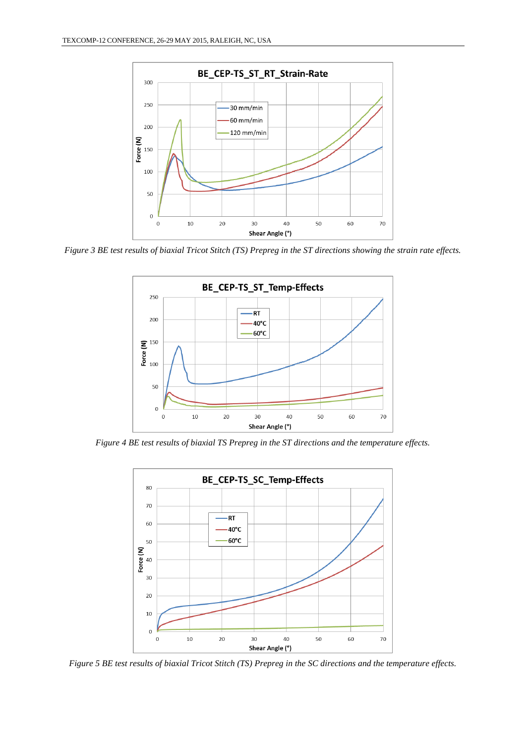

*Figure 3 BE test results of biaxial Tricot Stitch (TS) Prepreg in the ST directions showing the strain rate effects.*



*Figure 4 BE test results of biaxial TS Prepreg in the ST directions and the temperature effects.*



*Figure 5 BE test results of biaxial Tricot Stitch (TS) Prepreg in the SC directions and the temperature effects.*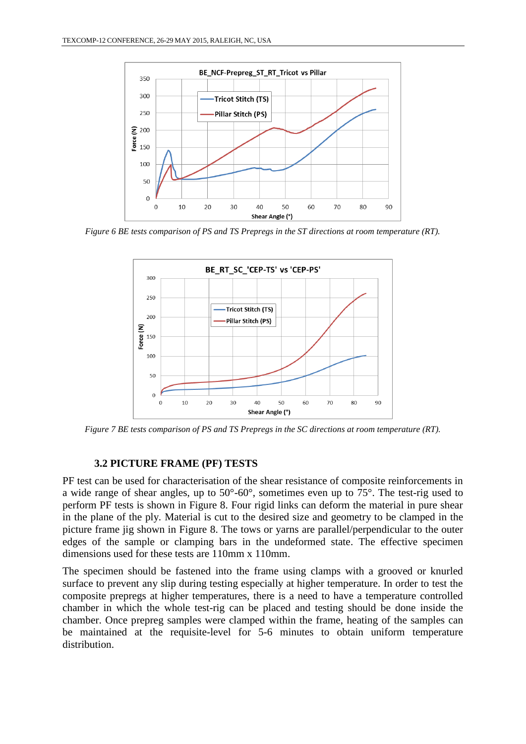

*Figure 6 BE tests comparison of PS and TS Prepregs in the ST directions at room temperature (RT).*



*Figure 7 BE tests comparison of PS and TS Prepregs in the SC directions at room temperature (RT).*

#### **3.2 PICTURE FRAME (PF) TESTS**

PF test can be used for characterisation of the shear resistance of composite reinforcements in a wide range of shear angles, up to 50°-60°, sometimes even up to 75°. The test-rig used to perform PF tests is shown in Figure 8. Four rigid links can deform the material in pure shear in the plane of the ply. Material is cut to the desired size and geometry to be clamped in the picture frame jig shown in Figure 8. The tows or yarns are parallel/perpendicular to the outer edges of the sample or clamping bars in the undeformed state. The effective specimen dimensions used for these tests are 110mm x 110mm.

The specimen should be fastened into the frame using clamps with a grooved or knurled surface to prevent any slip during testing especially at higher temperature. In order to test the composite prepregs at higher temperatures, there is a need to have a temperature controlled chamber in which the whole test-rig can be placed and testing should be done inside the chamber. Once prepreg samples were clamped within the frame, heating of the samples can be maintained at the requisite-level for 5-6 minutes to obtain uniform temperature distribution.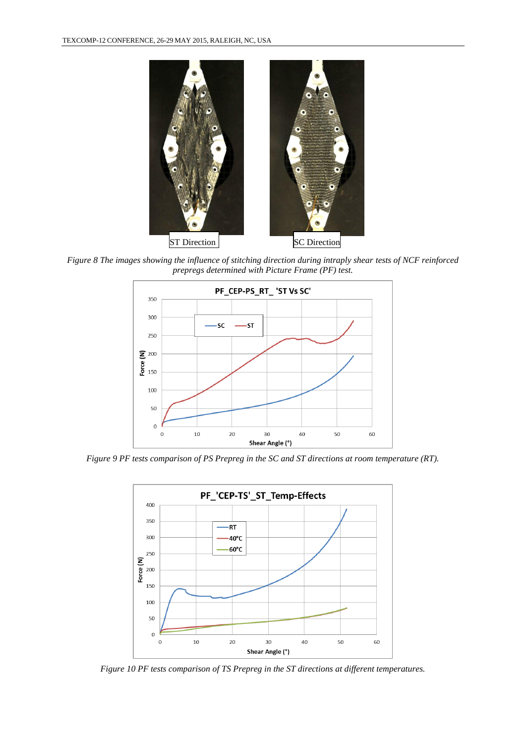

*Figure 8 The images showing the influence of stitching direction during intraply shear tests of NCF reinforced prepregs determined with Picture Frame (PF) test.* 



*Figure 9 PF tests comparison of PS Prepreg in the SC and ST directions at room temperature (RT).*



*Figure 10 PF tests comparison of TS Prepreg in the ST directions at different temperatures.*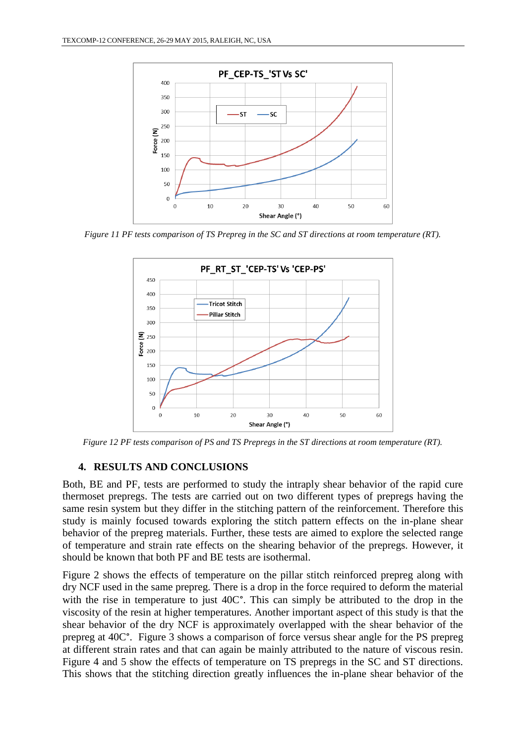

*Figure 11 PF tests comparison of TS Prepreg in the SC and ST directions at room temperature (RT).*



*Figure 12 PF tests comparison of PS and TS Prepregs in the ST directions at room temperature (RT).*

#### **4. RESULTS AND CONCLUSIONS**

Both, BE and PF, tests are performed to study the intraply shear behavior of the rapid cure thermoset prepregs. The tests are carried out on two different types of prepregs having the same resin system but they differ in the stitching pattern of the reinforcement. Therefore this study is mainly focused towards exploring the stitch pattern effects on the in-plane shear behavior of the prepreg materials. Further, these tests are aimed to explore the selected range of temperature and strain rate effects on the shearing behavior of the prepregs. However, it should be known that both PF and BE tests are isothermal.

Figure 2 shows the effects of temperature on the pillar stitch reinforced prepreg along with dry NCF used in the same prepreg. There is a drop in the force required to deform the material with the rise in temperature to just 40C°. This can simply be attributed to the drop in the viscosity of the resin at higher temperatures. Another important aspect of this study is that the shear behavior of the dry NCF is approximately overlapped with the shear behavior of the prepreg at 40C°. Figure 3 shows a comparison of force versus shear angle for the PS prepreg at different strain rates and that can again be mainly attributed to the nature of viscous resin. Figure 4 and 5 show the effects of temperature on TS prepregs in the SC and ST directions. This shows that the stitching direction greatly influences the in-plane shear behavior of the